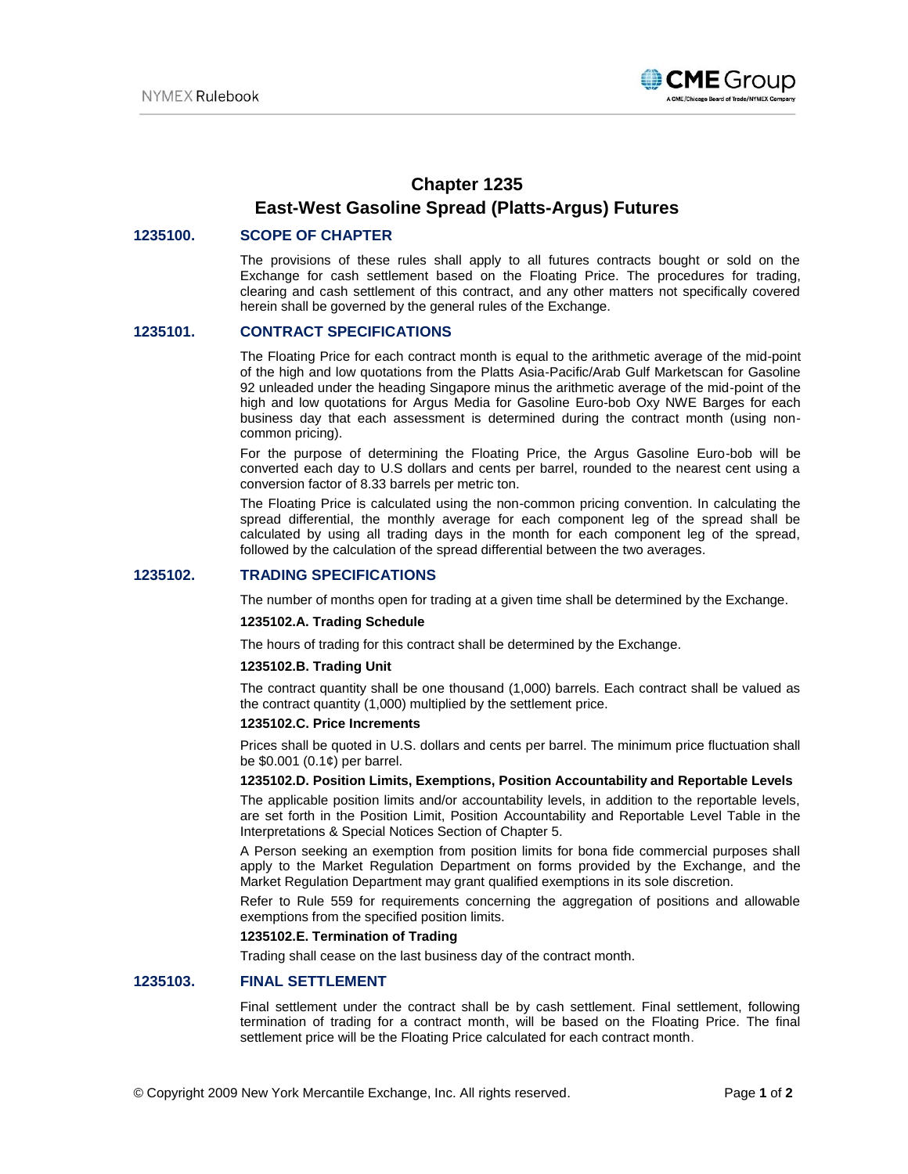

# **Chapter 1235 East-West Gasoline Spread (Platts-Argus) Futures**

## **1235100. SCOPE OF CHAPTER**

The provisions of these rules shall apply to all futures contracts bought or sold on the Exchange for cash settlement based on the Floating Price. The procedures for trading, clearing and cash settlement of this contract, and any other matters not specifically covered herein shall be governed by the general rules of the Exchange.

### **1235101. CONTRACT SPECIFICATIONS**

The Floating Price for each contract month is equal to the arithmetic average of the mid-point of the high and low quotations from the Platts Asia-Pacific/Arab Gulf Marketscan for Gasoline 92 unleaded under the heading Singapore minus the arithmetic average of the mid-point of the high and low quotations for Argus Media for Gasoline Euro-bob Oxy NWE Barges for each business day that each assessment is determined during the contract month (using noncommon pricing).

For the purpose of determining the Floating Price, the Argus Gasoline Euro-bob will be converted each day to U.S dollars and cents per barrel, rounded to the nearest cent using a conversion factor of 8.33 barrels per metric ton.

The Floating Price is calculated using the non-common pricing convention. In calculating the spread differential, the monthly average for each component leg of the spread shall be calculated by using all trading days in the month for each component leg of the spread, followed by the calculation of the spread differential between the two averages.

#### **1235102. TRADING SPECIFICATIONS**

The number of months open for trading at a given time shall be determined by the Exchange.

#### **1235102.A. Trading Schedule**

The hours of trading for this contract shall be determined by the Exchange.

#### **1235102.B. Trading Unit**

The contract quantity shall be one thousand (1,000) barrels. Each contract shall be valued as the contract quantity (1,000) multiplied by the settlement price.

#### **1235102.C. Price Increments**

Prices shall be quoted in U.S. dollars and cents per barrel. The minimum price fluctuation shall be \$0.001 (0.1¢) per barrel.

#### **1235102.D. Position Limits, Exemptions, Position Accountability and Reportable Levels**

The applicable position limits and/or accountability levels, in addition to the reportable levels, are set forth in the Position Limit, Position Accountability and Reportable Level Table in the Interpretations & Special Notices Section of Chapter 5.

A Person seeking an exemption from position limits for bona fide commercial purposes shall apply to the Market Regulation Department on forms provided by the Exchange, and the Market Regulation Department may grant qualified exemptions in its sole discretion.

Refer to Rule 559 for requirements concerning the aggregation of positions and allowable exemptions from the specified position limits.

#### **1235102.E. Termination of Trading**

Trading shall cease on the last business day of the contract month.

#### **1235103. FINAL SETTLEMENT**

Final settlement under the contract shall be by cash settlement. Final settlement, following termination of trading for a contract month, will be based on the Floating Price. The final settlement price will be the Floating Price calculated for each contract month.